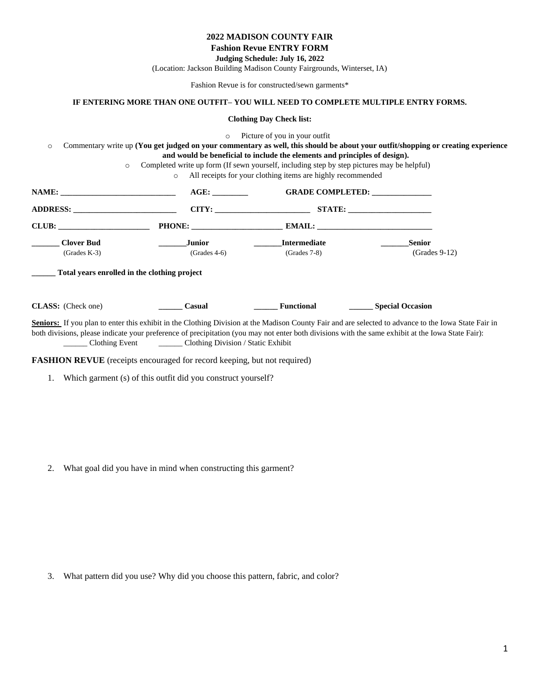#### **2022 MADISON COUNTY FAIR**

# **Fashion Revue ENTRY FORM**

**Judging Schedule: July 16, 2022**

(Location: Jackson Building Madison County Fairgrounds, Winterset, IA)

Fashion Revue is for constructed/sewn garments\*

### **IF ENTERING MORE THAN ONE OUTFIT– YOU WILL NEED TO COMPLETE MULTIPLE ENTRY FORMS.**

#### **Clothing Day Check list:**

o Picture of you in your outfit

o Commentary write up **(You get judged on your commentary as well, this should be about your outfit/shopping or creating experience and would be beneficial to include the elements and principles of design).**

o Completed write up form (If sewn yourself, including step by step pictures may be helpful)

o All receipts for your clothing items are highly recommended

| NAME:                                                                               | $AGE$ :                  |                                       | <b>GRADE COMPLETED:</b>                                                                                                                                                                                                                                                                                   |
|-------------------------------------------------------------------------------------|--------------------------|---------------------------------------|-----------------------------------------------------------------------------------------------------------------------------------------------------------------------------------------------------------------------------------------------------------------------------------------------------------|
| ADDRESS:                                                                            | CITY:                    |                                       | STATE:                                                                                                                                                                                                                                                                                                    |
| CLUB:                                                                               | PHONE:                   |                                       |                                                                                                                                                                                                                                                                                                           |
| <b>Clover Bud</b><br>$(Grades K-3)$<br>Total years enrolled in the clothing project | Junior<br>$(Grades 4-6)$ | <b>Intermediate</b><br>$(Grades 7-8)$ | <b>Senior</b><br>$(Grades 9-12)$                                                                                                                                                                                                                                                                          |
| <b>CLASS:</b> (Check one)                                                           | Casual                   | Functional                            | <b>Special Occasion</b>                                                                                                                                                                                                                                                                                   |
|                                                                                     |                          |                                       | Seniors: If you plan to enter this exhibit in the Clothing Division at the Madison County Fair and are selected to advance to the Iowa State Fair in<br>both divisions, please indicate your preference of precipitation (you may not enter both divisions with the same exhibit at the Iowa State Fair): |

\_\_\_\_\_\_ Clothing Event \_\_\_\_\_\_ Clothing Division / Static Exhibit

**FASHION REVUE** (receipts encouraged for record keeping, but not required)

1. Which garment (s) of this outfit did you construct yourself?

2. What goal did you have in mind when constructing this garment?

3. What pattern did you use? Why did you choose this pattern, fabric, and color?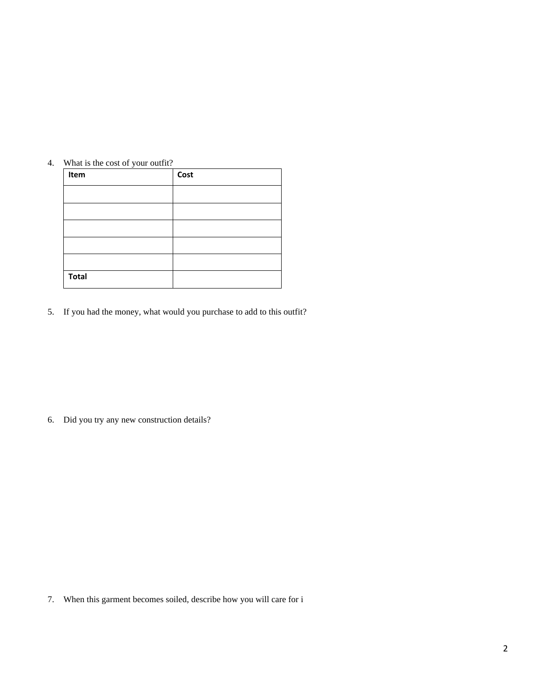| What is the cost of your outfit?<br>4. |
|----------------------------------------|
|----------------------------------------|

| $\tilde{\phantom{a}}$<br>Item | Cost |
|-------------------------------|------|
|                               |      |
|                               |      |
|                               |      |
|                               |      |
|                               |      |
| <b>Total</b>                  |      |

5. If you had the money, what would you purchase to add to this outfit?

6. Did you try any new construction details?

7. When this garment becomes soiled, describe how you will care for i